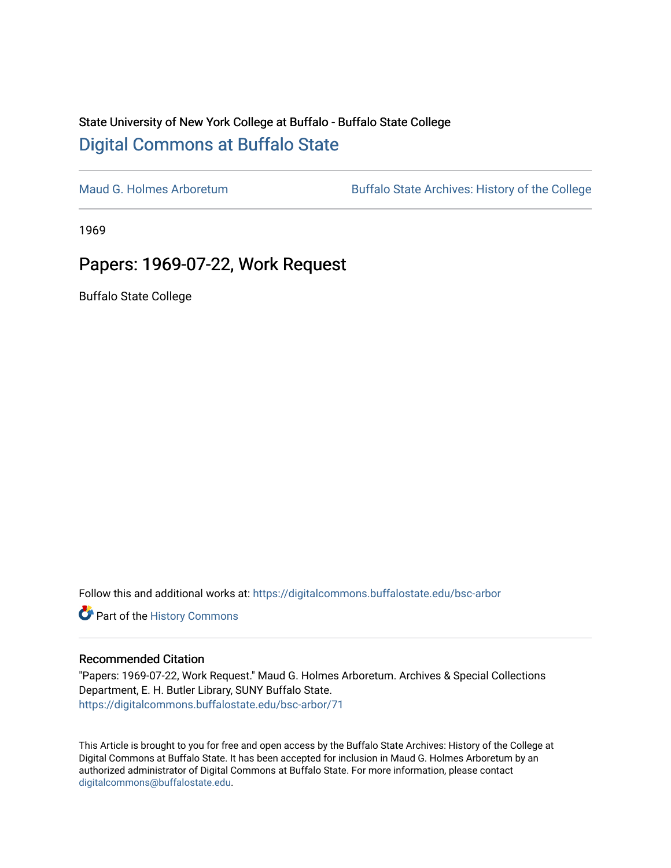## State University of New York College at Buffalo - Buffalo State College [Digital Commons at Buffalo State](https://digitalcommons.buffalostate.edu/)

[Maud G. Holmes Arboretum](https://digitalcommons.buffalostate.edu/bsc-arbor) Buffalo State Archives: History of the College

1969

## Papers: 1969-07-22, Work Request

Buffalo State College

Follow this and additional works at: [https://digitalcommons.buffalostate.edu/bsc-arbor](https://digitalcommons.buffalostate.edu/bsc-arbor?utm_source=digitalcommons.buffalostate.edu%2Fbsc-arbor%2F71&utm_medium=PDF&utm_campaign=PDFCoverPages) 

Part of the [History Commons](http://network.bepress.com/hgg/discipline/489?utm_source=digitalcommons.buffalostate.edu%2Fbsc-arbor%2F71&utm_medium=PDF&utm_campaign=PDFCoverPages) 

## Recommended Citation

"Papers: 1969-07-22, Work Request." Maud G. Holmes Arboretum. Archives & Special Collections Department, E. H. Butler Library, SUNY Buffalo State. [https://digitalcommons.buffalostate.edu/bsc-arbor/71](https://digitalcommons.buffalostate.edu/bsc-arbor/71?utm_source=digitalcommons.buffalostate.edu%2Fbsc-arbor%2F71&utm_medium=PDF&utm_campaign=PDFCoverPages) 

This Article is brought to you for free and open access by the Buffalo State Archives: History of the College at Digital Commons at Buffalo State. It has been accepted for inclusion in Maud G. Holmes Arboretum by an authorized administrator of Digital Commons at Buffalo State. For more information, please contact [digitalcommons@buffalostate.edu.](mailto:digitalcommons@buffalostate.edu)